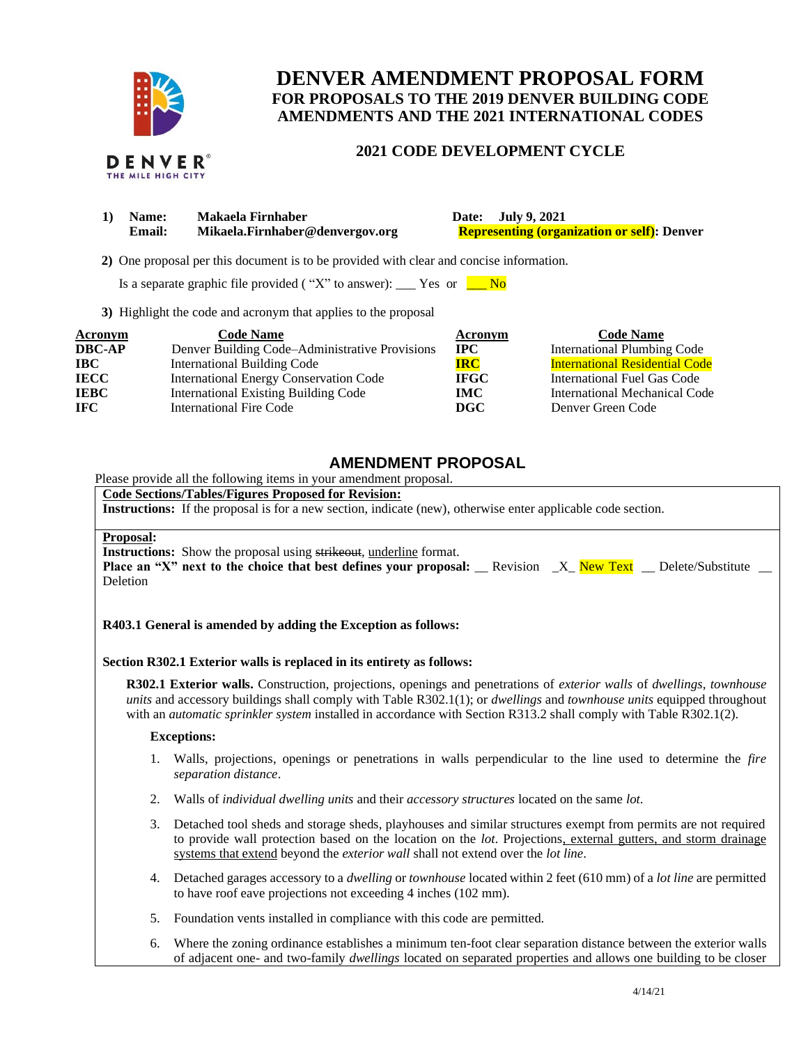

# **DENVER AMENDMENT PROPOSAL FORM FOR PROPOSALS TO THE 2019 DENVER BUILDING CODE AMENDMENTS AND THE 2021 INTERNATIONAL CODES**

## **2021 CODE DEVELOPMENT CYCLE**

|  | DENVER             |  |
|--|--------------------|--|
|  | THE MILE HIGH CITY |  |

| Name:         | Makaela Firnhaber               | Date: July 9, 2021                                 |  |  |
|---------------|---------------------------------|----------------------------------------------------|--|--|
| <b>Email:</b> | Mikaela.Firnhaber@denvergov.org | <b>Representing (organization or self):</b> Denver |  |  |

 **2)** One proposal per this document is to be provided with clear and concise information.

Is a separate graphic file provided ("X" to answer): \_\_\_ Yes or  $\Box$  No

**3)** Highlight the code and acronym that applies to the proposal

| Acronym       | <b>Code Name</b>                               | Acronym      | <b>Code Name</b>                      |
|---------------|------------------------------------------------|--------------|---------------------------------------|
| <b>DBC-AP</b> | Denver Building Code–Administrative Provisions | $_{\rm IPC}$ | <b>International Plumbing Code</b>    |
| $\bf IBC$     | <b>International Building Code</b>             | <b>IRC</b>   | <b>International Residential Code</b> |
| <b>IECC</b>   | <b>International Energy Conservation Code</b>  | <b>IFGC</b>  | International Fuel Gas Code           |
| <b>IEBC</b>   | <b>International Existing Building Code</b>    | IMC.         | International Mechanical Code         |
| <b>IFC</b>    | International Fire Code                        | DGC          | Denver Green Code                     |

# **AMENDMENT PROPOSAL**

Please provide all the following items in your amendment proposal.

# **Code Sections/Tables/Figures Proposed for Revision:**

**Instructions:** If the proposal is for a new section, indicate (new), otherwise enter applicable code section.

## **Proposal:**

**Instructions:** Show the proposal using strikeout, underline format.

|          | Place an "X" next to the choice that best defines your proposal: Revision X New Text Delete/Substitute |  |  |  |
|----------|--------------------------------------------------------------------------------------------------------|--|--|--|
| Deletion |                                                                                                        |  |  |  |

### **R403.1 General is amended by adding the Exception as follows:**

### **Section R302.1 Exterior walls is replaced in its entirety as follows:**

**R302.1 Exterior walls.** Construction, projections, openings and penetrations of *exterior walls* of *dwellings*, *townhouse units* and accessory buildings shall comply with Table R302.1(1); or *dwellings* and *townhouse units* equipped throughout with an *automatic sprinkler system* installed in accordance with Section R313.2 shall comply with Table R302.1(2).

### **Exceptions:**

- 1. Walls, projections, openings or penetrations in walls perpendicular to the line used to determine the *fire separation distance*.
- 2. Walls of *individual dwelling units* and their *accessory structures* located on the same *lot*.
- 3. Detached tool sheds and storage sheds, playhouses and similar structures exempt from permits are not required to provide wall protection based on the location on the *lot*. Projections, external gutters, and storm drainage systems that extend beyond the *exterior wall* shall not extend over the *lot line*.
- 4. Detached garages accessory to a *dwelling* or *townhouse* located within 2 feet (610 mm) of a *lot line* are permitted to have roof eave projections not exceeding 4 inches (102 mm).
- 5. Foundation vents installed in compliance with this code are permitted.
- 6. Where the zoning ordinance establishes a minimum ten-foot clear separation distance between the exterior walls of adjacent one- and two-family *dwellings* located on separated properties and allows one building to be closer